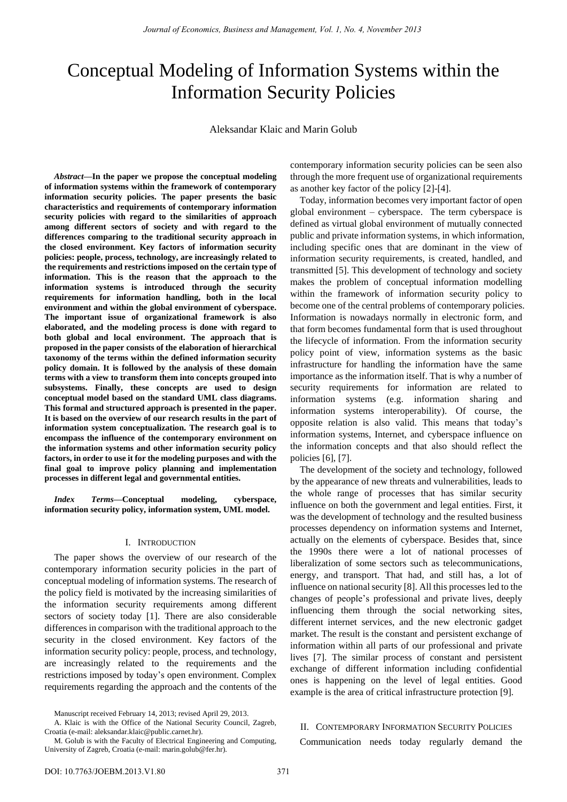# Conceptual Modeling of Information Systems within the Information Security Policies

Aleksandar Klaic and Marin Golub

*Abstract—***In the paper we propose the conceptual modeling of information systems within the framework of contemporary information security policies. The paper presents the basic characteristics and requirements of contemporary information security policies with regard to the similarities of approach among different sectors of society and with regard to the differences comparing to the traditional security approach in the closed environment. Key factors of information security policies: people, process, technology, are increasingly related to the requirements and restrictions imposed on the certain type of information. This is the reason that the approach to the information systems is introduced through the security requirements for information handling, both in the local environment and within the global environment of cyberspace. The important issue of organizational framework is also elaborated, and the modeling process is done with regard to both global and local environment. The approach that is proposed in the paper consists of the elaboration of hierarchical taxonomy of the terms within the defined information security policy domain. It is followed by the analysis of these domain terms with a view to transform them into concepts grouped into subsystems. Finally, these concepts are used to design conceptual model based on the standard UML class diagrams. This formal and structured approach is presented in the paper. It is based on the overview of our research results in the part of information system conceptualization. The research goal is to encompass the influence of the contemporary environment on the information systems and other information security policy factors, in order to use it for the modeling purposes and with the final goal to improve policy planning and implementation processes in different legal and governmental entities.** 

*Index Terms***—Conceptual modeling, cyberspace, information security policy, information system, UML model.** 

## I. INTRODUCTION

The paper shows the overview of our research of the contemporary information security policies in the part of conceptual modeling of information systems. The research of the policy field is motivated by the increasing similarities of the information security requirements among different sectors of society today [1]. There are also considerable differences in comparison with the traditional approach to the security in the closed environment. Key factors of the information security policy: people, process, and technology, are increasingly related to the requirements and the restrictions imposed by today's open environment. Complex requirements regarding the approach and the contents of the contemporary information security policies can be seen also through the more frequent use of organizational requirements as another key factor of the policy [2]-[4].

Today, information becomes very important factor of open global environment – cyberspace. The term cyberspace is defined as virtual global environment of mutually connected public and private information systems, in which information, including specific ones that are dominant in the view of information security requirements, is created, handled, and transmitted [5]. This development of technology and society makes the problem of conceptual information modelling within the framework of information security policy to become one of the central problems of contemporary policies. Information is nowadays normally in electronic form, and that form becomes fundamental form that is used throughout the lifecycle of information. From the information security policy point of view, information systems as the basic infrastructure for handling the information have the same importance as the information itself. That is why a number of security requirements for information are related to information systems (e.g. information sharing and information systems interoperability). Of course, the opposite relation is also valid. This means that today's information systems, Internet, and cyberspace influence on the information concepts and that also should reflect the policies [6], [7].

The development of the society and technology, followed by the appearance of new threats and vulnerabilities, leads to the whole range of processes that has similar security influence on both the government and legal entities. First, it was the development of technology and the resulted business processes dependency on information systems and Internet, actually on the elements of cyberspace. Besides that, since the 1990s there were a lot of national processes of liberalization of some sectors such as telecommunications, energy, and transport. That had, and still has, a lot of influence on national security [8]. All this processes led to the changes of people's professional and private lives, deeply influencing them through the social networking sites, different internet services, and the new electronic gadget market. The result is the constant and persistent exchange of information within all parts of our professional and private lives [7]. The similar process of constant and persistent exchange of different information including confidential ones is happening on the level of legal entities. Good example is the area of critical infrastructure protection [9].

## II. CONTEMPORARY INFORMATION SECURITY POLICIES

Communication needs today regularly demand the

Manuscript received February 14, 2013; revised April 29, 2013.

A. Klaic is with the Office of the National Security Council, Zagreb, Croatia (e-mail: aleksandar.klaic@public.carnet.hr).

M. Golub is with the Faculty of Electrical Engineering and Computing, University of Zagreb, Croatia (e-mail: marin.golub@fer.hr).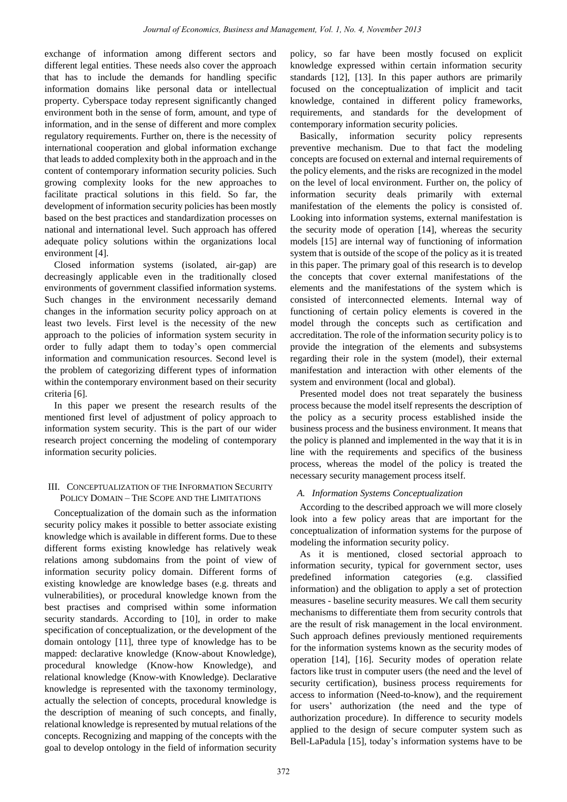exchange of information among different sectors and different legal entities. These needs also cover the approach that has to include the demands for handling specific information domains like personal data or intellectual property. Cyberspace today represent significantly changed environment both in the sense of form, amount, and type of information, and in the sense of different and more complex regulatory requirements. Further on, there is the necessity of international cooperation and global information exchange that leads to added complexity both in the approach and in the content of contemporary information security policies. Such growing complexity looks for the new approaches to facilitate practical solutions in this field. So far, the development of information security policies has been mostly based on the best practices and standardization processes on national and international level. Such approach has offered adequate policy solutions within the organizations local environment [4].

Closed information systems (isolated, air-gap) are decreasingly applicable even in the traditionally closed environments of government classified information systems. Such changes in the environment necessarily demand changes in the information security policy approach on at least two levels. First level is the necessity of the new approach to the policies of information system security in order to fully adapt them to today's open commercial information and communication resources. Second level is the problem of categorizing different types of information within the contemporary environment based on their security criteria [6].

In this paper we present the research results of the mentioned first level of adjustment of policy approach to information system security. This is the part of our wider research project concerning the modeling of contemporary information security policies.

## III. CONCEPTUALIZATION OF THE INFORMATION SECURITY POLICY DOMAIN – THE SCOPE AND THE LIMITATIONS

Conceptualization of the domain such as the information security policy makes it possible to better associate existing knowledge which is available in different forms. Due to these different forms existing knowledge has relatively weak relations among subdomains from the point of view of information security policy domain. Different forms of existing knowledge are knowledge bases (e.g. threats and vulnerabilities), or procedural knowledge known from the best practises and comprised within some information security standards. According to [10], in order to make specification of conceptualization, or the development of the domain ontology [11], three type of knowledge has to be mapped: declarative knowledge (Know-about Knowledge), procedural knowledge (Know-how Knowledge), and relational knowledge (Know-with Knowledge). Declarative knowledge is represented with the taxonomy terminology, actually the selection of concepts, procedural knowledge is the description of meaning of such concepts, and finally, relational knowledge is represented by mutual relations of the concepts. Recognizing and mapping of the concepts with the goal to develop ontology in the field of information security policy, so far have been mostly focused on explicit knowledge expressed within certain information security standards [12], [13]. In this paper authors are primarily focused on the conceptualization of implicit and tacit knowledge, contained in different policy frameworks, requirements, and standards for the development of contemporary information security policies.

Basically, information security policy represents preventive mechanism. Due to that fact the modeling concepts are focused on external and internal requirements of the policy elements, and the risks are recognized in the model on the level of local environment. Further on, the policy of information security deals primarily with external manifestation of the elements the policy is consisted of. Looking into information systems, external manifestation is the security mode of operation [14], whereas the security models [15] are internal way of functioning of information system that is outside of the scope of the policy as it is treated in this paper. The primary goal of this research is to develop the concepts that cover external manifestations of the elements and the manifestations of the system which is consisted of interconnected elements. Internal way of functioning of certain policy elements is covered in the model through the concepts such as certification and accreditation. The role of the information security policy is to provide the integration of the elements and subsystems regarding their role in the system (model), their external manifestation and interaction with other elements of the system and environment (local and global).

Presented model does not treat separately the business process because the model itself represents the description of the policy as a security process established inside the business process and the business environment. It means that the policy is planned and implemented in the way that it is in line with the requirements and specifics of the business process, whereas the model of the policy is treated the necessary security management process itself.

## *A. Information Systems Conceptualization*

According to the described approach we will more closely look into a few policy areas that are important for the conceptualization of information systems for the purpose of modeling the information security policy.

As it is mentioned, closed sectorial approach to information security, typical for government sector, uses predefined information categories (e.g. classified information) and the obligation to apply a set of protection measures - baseline security measures. We call them security mechanisms to differentiate them from security controls that are the result of risk management in the local environment. Such approach defines previously mentioned requirements for the information systems known as the security modes of operation [14], [16]. Security modes of operation relate factors like trust in computer users (the need and the level of security certification), business process requirements for access to information (Need-to-know), and the requirement for users' authorization (the need and the type of authorization procedure). In difference to security models applied to the design of secure computer system such as Bell-LaPadula [15], today's information systems have to be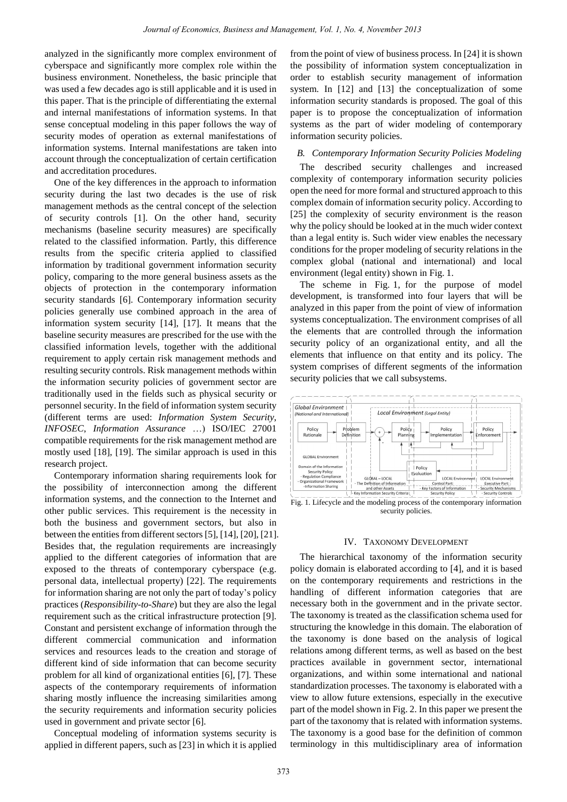analyzed in the significantly more complex environment of cyberspace and significantly more complex role within the business environment. Nonetheless, the basic principle that was used a few decades ago is still applicable and it is used in this paper. That is the principle of differentiating the external and internal manifestations of information systems. In that sense conceptual modeling in this paper follows the way of security modes of operation as external manifestations of information systems. Internal manifestations are taken into account through the conceptualization of certain certification and accreditation procedures.

One of the key differences in the approach to information security during the last two decades is the use of risk management methods as the central concept of the selection of security controls [1]. On the other hand, security mechanisms (baseline security measures) are specifically related to the classified information. Partly, this difference results from the specific criteria applied to classified information by traditional government information security policy, comparing to the more general business assets as the objects of protection in the contemporary information security standards [6]. Contemporary information security policies generally use combined approach in the area of information system security [14], [17]. It means that the baseline security measures are prescribed for the use with the classified information levels, together with the additional requirement to apply certain risk management methods and resulting security controls. Risk management methods within the information security policies of government sector are traditionally used in the fields such as physical security or personnel security. In the field of information system security (different terms are used: *Information System Security*, *INFOSEC*, *Information Assurance* …) ISO/IEC 27001 compatible requirements for the risk management method are mostly used [18], [19]. The similar approach is used in this research project.

Contemporary information sharing requirements look for the possibility of interconnection among the different information systems, and the connection to the Internet and other public services. This requirement is the necessity in both the business and government sectors, but also in between the entities from different sectors [5], [14], [20], [21]. Besides that, the regulation requirements are increasingly applied to the different categories of information that are exposed to the threats of contemporary cyberspace (e.g. personal data, intellectual property) [22]. The requirements for information sharing are not only the part of today's policy practices (*Responsibility-to-Share*) but they are also the legal requirement such as the critical infrastructure protection [9]. Constant and persistent exchange of information through the different commercial communication and information services and resources leads to the creation and storage of different kind of side information that can become security problem for all kind of organizational entities [6], [7]. These aspects of the contemporary requirements of information sharing mostly influence the increasing similarities among the security requirements and information security policies used in government and private sector [6].

Conceptual modeling of information systems security is applied in different papers, such as [23] in which it is applied from the point of view of business process. In [24] it is shown the possibility of information system conceptualization in order to establish security management of information system. In [12] and [13] the conceptualization of some information security standards is proposed. The goal of this paper is to propose the conceptualization of information systems as the part of wider modeling of contemporary information security policies.

## *B. Contemporary Information Security Policies Modeling*

The described security challenges and increased complexity of contemporary information security policies open the need for more formal and structured approach to this complex domain of information security policy. According to [25] the complexity of security environment is the reason why the policy should be looked at in the much wider context than a legal entity is. Such wider view enables the necessary conditions for the proper modeling of security relations in the complex global (national and international) and local environment (legal entity) shown in Fig. 1.

The scheme in Fig. 1, for the purpose of model development, is transformed into four layers that will be analyzed in this paper from the point of view of information systems conceptualization. The environment comprises of all the elements that are controlled through the information security policy of an organizational entity, and all the elements that influence on that entity and its policy. The system comprises of different segments of the information security policies that we call subsystems.



Fig. 1. Lifecycle and the modeling process of the contemporary information security policies.

#### IV. TAXONOMY DEVELOPMENT

The hierarchical taxonomy of the information security policy domain is elaborated according to [4], and it is based on the contemporary requirements and restrictions in the handling of different information categories that are necessary both in the government and in the private sector. The taxonomy is treated as the classification schema used for structuring the knowledge in this domain. The elaboration of the taxonomy is done based on the analysis of logical relations among different terms, as well as based on the best practices available in government sector, international organizations, and within some international and national standardization processes. The taxonomy is elaborated with a view to allow future extensions, especially in the executive part of the model shown in Fig. 2. In this paper we present the part of the taxonomy that is related with information systems. The taxonomy is a good base for the definition of common terminology in this multidisciplinary area of information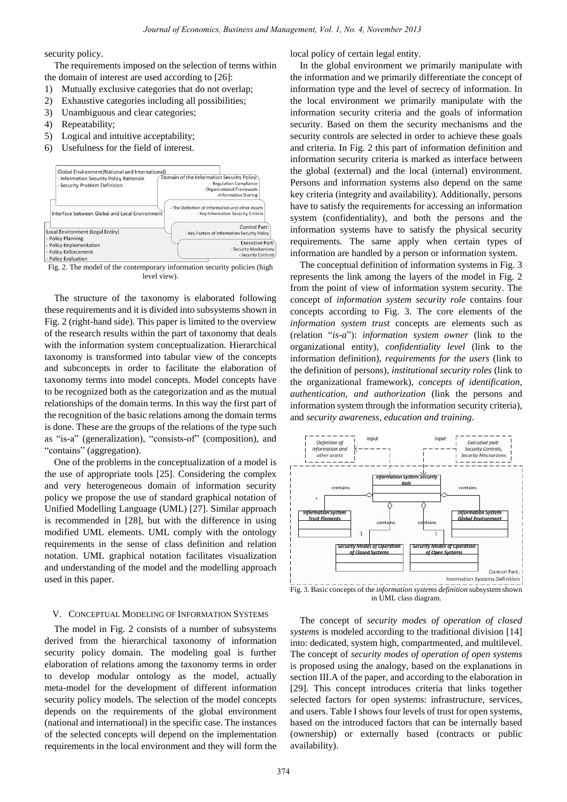security policy.

The requirements imposed on the selection of terms within the domain of interest are used according to [26]:

- 1) Mutually exclusive categories that do not overlap;
- 2) Exhaustive categories including all possibilities;
- 3) Unambiguous and clear categories;
- 4) Repeatability;
- 5) Logical and intuitive acceptability;
- 6) Usefulness for the field of interest.



Fig. 2. The model of the contemporary information security policies (high level view).

The structure of the taxonomy is elaborated following these requirements and it is divided into subsystems shown in Fig. 2 (right-hand side). This paper is limited to the overview of the research results within the part of taxonomy that deals with the information system conceptualization. Hierarchical taxonomy is transformed into tabular view of the concepts and subconcepts in order to facilitate the elaboration of taxonomy terms into model concepts. Model concepts have to be recognized both as the categorization and as the mutual relationships of the domain terms. In this way the first part of the recognition of the basic relations among the domain terms is done. These are the groups of the relations of the type such as "is-a" (generalization), "consists-of" (composition), and "contains" (aggregation).

One of the problems in the conceptualization of a model is the use of appropriate tools [25]. Considering the complex and very heterogeneous domain of information security policy we propose the use of standard graphical notation of Unified Modelling Language (UML) [27]. Similar approach is recommended in [28], but with the difference in using modified UML elements. UML comply with the ontology requirements in the sense of class definition and relation notation. UML graphical notation facilitates visualization and understanding of the model and the modelling approach used in this paper.

#### V. CONCEPTUAL MODELING OF INFORMATION SYSTEMS

The model in Fig. 2 consists of a number of subsystems derived from the hierarchical taxonomy of information security policy domain. The modeling goal is further elaboration of relations among the taxonomy terms in order to develop modular ontology as the model, actually meta-model for the development of different information security policy models. The selection of the model concepts depends on the requirements of the global environment (national and international) in the specific case. The instances of the selected concepts will depend on the implementation requirements in the local environment and they will form the local policy of certain legal entity.

In the global environment we primarily manipulate with the information and we primarily differentiate the concept of information type and the level of secrecy of information. In the local environment we primarily manipulate with the information security criteria and the goals of information security. Based on them the security mechanisms and the security controls are selected in order to achieve these goals and criteria. In Fig. 2 this part of information definition and information security criteria is marked as interface between the global (external) and the local (internal) environment. Persons and information systems also depend on the same key criteria (integrity and availability). Additionally, persons have to satisfy the requirements for accessing an information system (confidentiality), and both the persons and the information systems have to satisfy the physical security requirements. The same apply when certain types of information are handled by a person or information system.

The conceptual definition of information systems in Fig. 3 represents the link among the layers of the model in Fig. 2 from the point of view of information system security. The concept of *information system security role* contains four concepts according to Fig. 3. The core elements of the *information system trust* concepts are elements such as (relation "*is-a*"): *information system owner* (link to the organizational entity), *confidentiality level* (link to the information definition), *requirements for the users* (link to the definition of persons), *institutional security roles* (link to the organizational framework), *concepts of identification, authentication, and authorization* (link the persons and information system through the information security criteria), and *security awareness, education and training*.



Fig. 3. Basic concepts of the *information systems definition* subsystem shown in UML class diagram.

The concept of *security modes of operation of closed systems* is modeled according to the traditional division [14] into: dedicated, system high, compartmented, and multilevel. The concept of *security modes of operation of open systems* is proposed using the analogy, based on the explanations in section III.A of the paper, and according to the elaboration in [29]. This concept introduces criteria that links together selected factors for open systems: infrastructure, services, and users. Table I shows four levels of trust for open systems, based on the introduced factors that can be internally based (ownership) or externally based (contracts or public availability).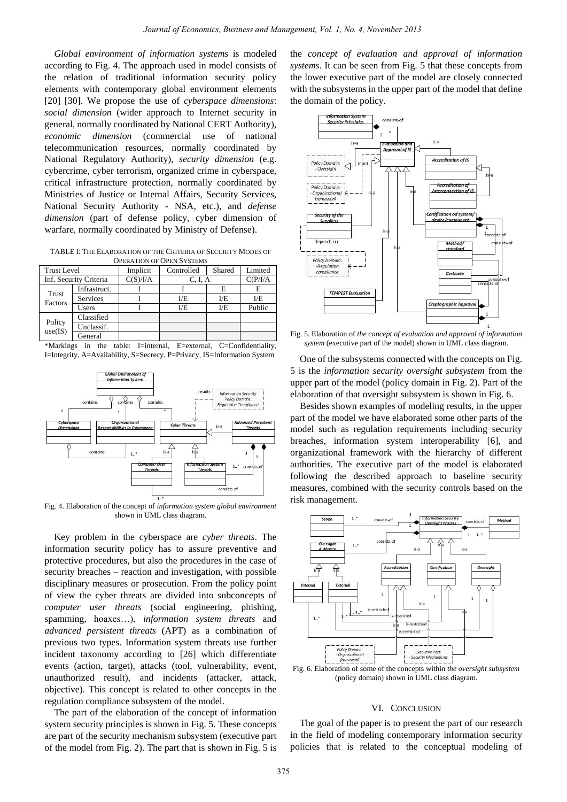*Global environment of information systems* is modeled according to Fig. 4. The approach used in model consists of the relation of traditional information security policy elements with contemporary global environment elements [20] [30]. We propose the use of *cyberspace dimensions*: *social dimension* (wider approach to Internet security in general, normally coordinated by National CERT Authority), *economic dimension* (commercial use of national telecommunication resources, normally coordinated by National Regulatory Authority), *security dimension* (e.g. cybercrime, cyber terrorism, organized crime in cyberspace, critical infrastructure protection, normally coordinated by Ministries of Justice or Internal Affairs, Security Services, National Security Authority - NSA, etc.), and *defense dimension* (part of defense policy, cyber dimension of warfare, normally coordinated by Ministry of Defense).

TABLE I: THE ELABORATION OF THE CRITERIA OF SECURITY MODES OF OPERATION OF OPEN SYSTEMS

| <b>Trust Level</b>     |                 | Implicit | Controlled | Shared | Limited  |
|------------------------|-----------------|----------|------------|--------|----------|
| Inf. Security Criteria |                 | C(S)/I/A | C, I, A    |        | C(P/I/A) |
| Trust<br>Factors       | Infrastruct.    |          |            | Е      | E        |
|                        | <b>Services</b> |          | I/E        | E      | I/E      |
|                        | Users           |          | E          | E      | Public   |
| Policy<br>use(IS)      | Classified      |          |            |        |          |
|                        | Unclassif.      |          |            |        |          |
|                        | General         |          |            |        |          |

\*Markings in the table: I=internal, E=external, C=Confidentiality, I=Integrity, A=Availability, S=Secrecy, P=Privacy, IS=Information System



Fig. 4. Elaboration of the concept of *information system global environment* shown in UML class diagram.

Key problem in the cyberspace are *cyber threats*. The information security policy has to assure preventive and protective procedures, but also the procedures in the case of security breaches – reaction and investigation, with possible disciplinary measures or prosecution. From the policy point of view the cyber threats are divided into subconcepts of *computer user threats* (social engineering, phishing, spamming, hoaxes…), *information system threats* and *advanced persistent threats* (APT) as a combination of previous two types. Information system threats use further incident taxonomy according to [26] which differentiate events (action, target), attacks (tool, vulnerability, event, unauthorized result), and incidents (attacker, attack, objective). This concept is related to other concepts in the regulation compliance subsystem of the model.

The part of the elaboration of the concept of information system security principles is shown in Fig. 5. These concepts are part of the security mechanism subsystem (executive part of the model from Fig. 2). The part that is shown in Fig. 5 is

the *concept of evaluation and approval of information systems*. It can be seen from Fig. 5 that these concepts from the lower executive part of the model are closely connected with the subsystems in the upper part of the model that define the domain of the policy.



Fig. 5. Elaboration of *the concept of evaluation and approval of information system* (executive part of the model) shown in UML class diagram.

One of the subsystems connected with the concepts on Fig. 5 is the *information security oversight subsystem* from the upper part of the model (policy domain in Fig. 2). Part of the elaboration of that oversight subsystem is shown in Fig. 6.

Besides shown examples of modeling results, in the upper part of the model we have elaborated some other parts of the model such as regulation requirements including security breaches, information system interoperability [6], and organizational framework with the hierarchy of different authorities. The executive part of the model is elaborated following the described approach to baseline security measures, combined with the security controls based on the risk management.



(policy domain) shown in UML class diagram.

## VI. CONCLUSION

The goal of the paper is to present the part of our research in the field of modeling contemporary information security policies that is related to the conceptual modeling of